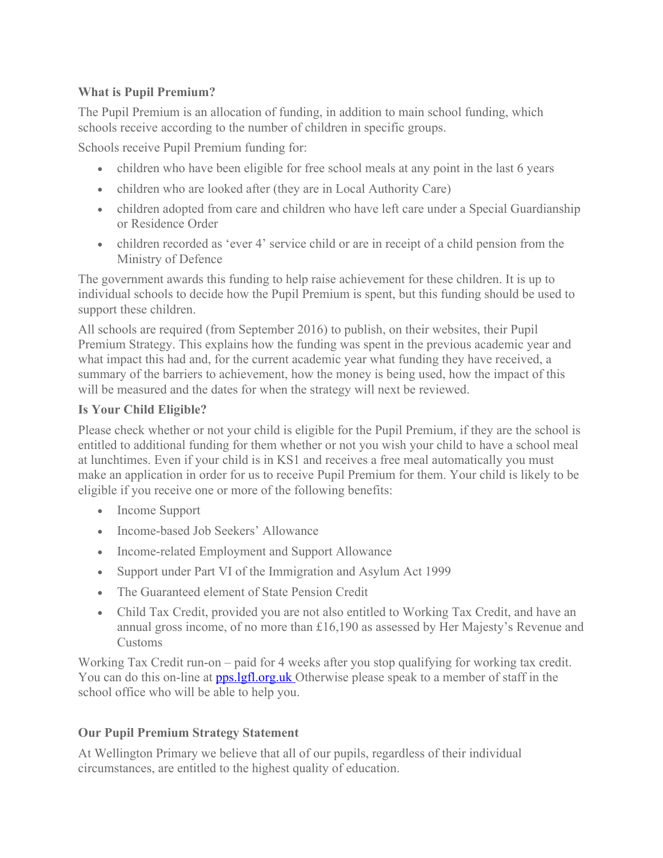## **What is Pupil Premium?**

The Pupil Premium is an allocation of funding, in addition to main school funding, which schools receive according to the number of children in specific groups.

Schools receive Pupil Premium funding for:

- children who have been eligible for free school meals at any point in the last 6 years
- children who are looked after (they are in Local Authority Care)
- children adopted from care and children who have left care under a Special Guardianship or Residence Order
- children recorded as 'ever 4' service child or are in receipt of a child pension from the Ministry of Defence

The government awards this funding to help raise achievement for these children. It is up to individual schools to decide how the Pupil Premium is spent, but this funding should be used to support these children.

All schools are required (from September 2016) to publish, on their websites, their Pupil Premium Strategy. This explains how the funding was spent in the previous academic year and what impact this had and, for the current academic year what funding they have received, a summary of the barriers to achievement, how the money is being used, how the impact of this will be measured and the dates for when the strategy will next be reviewed.

### **Is Your Child Eligible?**

Please check whether or not your child is eligible for the Pupil Premium, if they are the school is entitled to additional funding for them whether or not you wish your child to have a school meal at lunchtimes. Even if your child is in KS1 and receives a free meal automatically you must make an application in order for us to receive Pupil Premium for them. Your child is likely to be eligible if you receive one or more of the following benefits:

- Income Support
- Income-based Job Seekers' Allowance
- Income-related Employment and Support Allowance
- Support under Part VI of the Immigration and Asylum Act 1999
- The Guaranteed element of State Pension Credit
- Child Tax Credit, provided you are not also entitled to Working Tax Credit, and have an annual gross income, of no more than £16,190 as assessed by Her Majesty's Revenue and Customs

Working Tax Credit run-on – paid for 4 weeks after you stop qualifying for working tax credit. You can do this on-line at **pps.lgfl.org.uk** Otherwise please speak to a member of staff in the school office who will be able to help you.

# **Our Pupil Premium Strategy Statement**

At Wellington Primary we believe that all of our pupils, regardless of their individual circumstances, are entitled to the highest quality of education.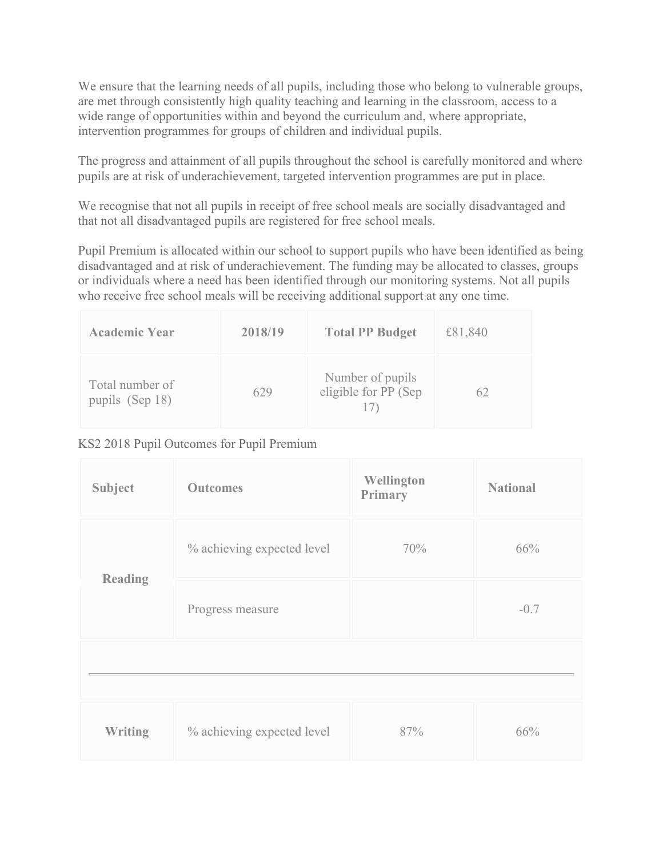We ensure that the learning needs of all pupils, including those who belong to vulnerable groups, are met through consistently high quality teaching and learning in the classroom, access to a wide range of opportunities within and beyond the curriculum and, where appropriate, intervention programmes for groups of children and individual pupils.

The progress and attainment of all pupils throughout the school is carefully monitored and where pupils are at risk of underachievement, targeted intervention programmes are put in place.

We recognise that not all pupils in receipt of free school meals are socially disadvantaged and that not all disadvantaged pupils are registered for free school meals.

Pupil Premium is allocated within our school to support pupils who have been identified as being disadvantaged and at risk of underachievement. The funding may be allocated to classes, groups or individuals where a need has been identified through our monitoring systems. Not all pupils who receive free school meals will be receiving additional support at any one time.

| <b>Academic Year</b>               | 2018/19 | <b>Total PP Budget</b>                   | £81,840 |
|------------------------------------|---------|------------------------------------------|---------|
| Total number of<br>pupils (Sep 18) | 629     | Number of pupils<br>eligible for PP (Sep | 62      |

### KS2 2018 Pupil Outcomes for Pupil Premium

| Subject        | <b>Outcomes</b>            | Wellington<br>Primary | <b>National</b> |
|----------------|----------------------------|-----------------------|-----------------|
| <b>Reading</b> | % achieving expected level | 70%                   | 66%             |
|                | Progress measure           |                       | $-0.7$          |
|                |                            |                       |                 |
| <b>Writing</b> | % achieving expected level | 87%                   | 66%             |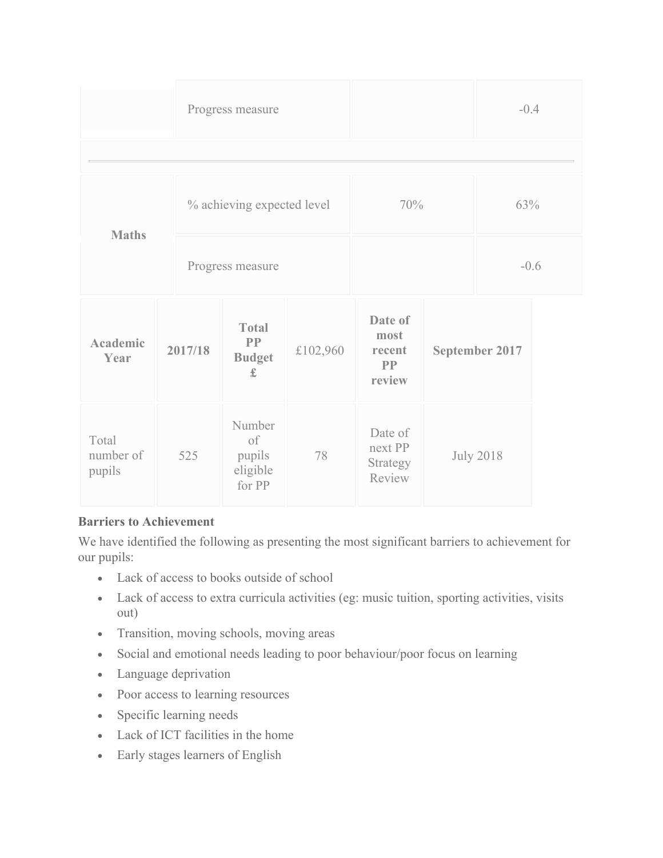|                         |  |                            | Progress measure                                 |          |                                           |                  | $-0.4$ |  |
|-------------------------|--|----------------------------|--------------------------------------------------|----------|-------------------------------------------|------------------|--------|--|
|                         |  |                            |                                                  |          |                                           |                  |        |  |
|                         |  | % achieving expected level |                                                  | 70%      |                                           | 63%              |        |  |
| <b>Maths</b>            |  | Progress measure           |                                                  |          |                                           | $-0.6$           |        |  |
| <b>Academic</b><br>Year |  | 2017/18                    | <b>Total</b><br>PP<br><b>Budget</b><br>$\pounds$ | £102,960 | Date of<br>most<br>recent<br>PP<br>review | September 2017   |        |  |
| Total<br>number of      |  | 525                        | Number<br>of<br>pupils                           | 78       | Date of<br>next PP<br>$\sim$ $\sim$       | <b>July 2018</b> |        |  |

| number of<br>pupils | 525 | pupils<br>eligible<br>for PP | HEXU F F<br>Strategy<br>Review |  |
|---------------------|-----|------------------------------|--------------------------------|--|
|                     |     |                              |                                |  |

### **Barriers to Achievement**

We have identified the following as presenting the most significant barriers to achievement for our pupils:

- Lack of access to books outside of school
- Lack of access to extra curricula activities (eg: music tuition, sporting activities, visits out)
- Transition, moving schools, moving areas
- Social and emotional needs leading to poor behaviour/poor focus on learning
- Language deprivation
- Poor access to learning resources
- Specific learning needs
- Lack of ICT facilities in the home
- Early stages learners of English